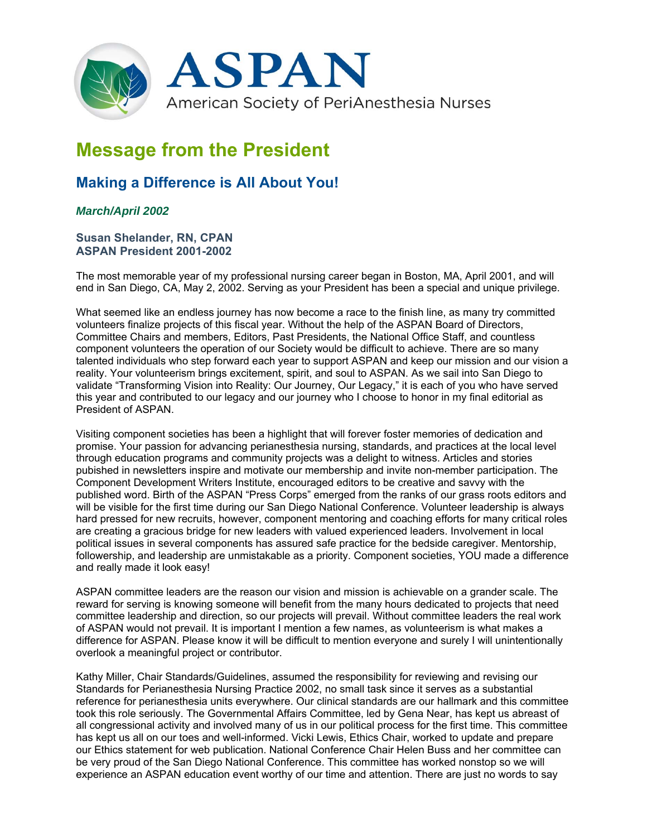

## **Message from the President**

## **Making a Difference is All About You!**

## *March/April 2002*

## **Susan Shelander, RN, CPAN ASPAN President 2001-2002**

The most memorable year of my professional nursing career began in Boston, MA, April 2001, and will end in San Diego, CA, May 2, 2002. Serving as your President has been a special and unique privilege.

What seemed like an endless journey has now become a race to the finish line, as many try committed volunteers finalize projects of this fiscal year. Without the help of the ASPAN Board of Directors, Committee Chairs and members, Editors, Past Presidents, the National Office Staff, and countless component volunteers the operation of our Society would be difficult to achieve. There are so many talented individuals who step forward each year to support ASPAN and keep our mission and our vision a reality. Your volunteerism brings excitement, spirit, and soul to ASPAN. As we sail into San Diego to validate "Transforming Vision into Reality: Our Journey, Our Legacy," it is each of you who have served this year and contributed to our legacy and our journey who I choose to honor in my final editorial as President of ASPAN.

Visiting component societies has been a highlight that will forever foster memories of dedication and promise. Your passion for advancing perianesthesia nursing, standards, and practices at the local level through education programs and community projects was a delight to witness. Articles and stories pubished in newsletters inspire and motivate our membership and invite non-member participation. The Component Development Writers Institute, encouraged editors to be creative and savvy with the published word. Birth of the ASPAN "Press Corps" emerged from the ranks of our grass roots editors and will be visible for the first time during our San Diego National Conference. Volunteer leadership is always hard pressed for new recruits, however, component mentoring and coaching efforts for many critical roles are creating a gracious bridge for new leaders with valued experienced leaders. Involvement in local political issues in several components has assured safe practice for the bedside caregiver. Mentorship, followership, and leadership are unmistakable as a priority. Component societies, YOU made a difference and really made it look easy!

ASPAN committee leaders are the reason our vision and mission is achievable on a grander scale. The reward for serving is knowing someone will benefit from the many hours dedicated to projects that need committee leadership and direction, so our projects will prevail. Without committee leaders the real work of ASPAN would not prevail. It is important I mention a few names, as volunteerism is what makes a difference for ASPAN. Please know it will be difficult to mention everyone and surely I will unintentionally overlook a meaningful project or contributor.

Kathy Miller, Chair Standards/Guidelines, assumed the responsibility for reviewing and revising our Standards for Perianesthesia Nursing Practice 2002, no small task since it serves as a substantial reference for perianesthesia units everywhere. Our clinical standards are our hallmark and this committee took this role seriously. The Governmental Affairs Committee, led by Gena Near, has kept us abreast of all congressional activity and involved many of us in our political process for the first time. This committee has kept us all on our toes and well-informed. Vicki Lewis, Ethics Chair, worked to update and prepare our Ethics statement for web publication. National Conference Chair Helen Buss and her committee can be very proud of the San Diego National Conference. This committee has worked nonstop so we will experience an ASPAN education event worthy of our time and attention. There are just no words to say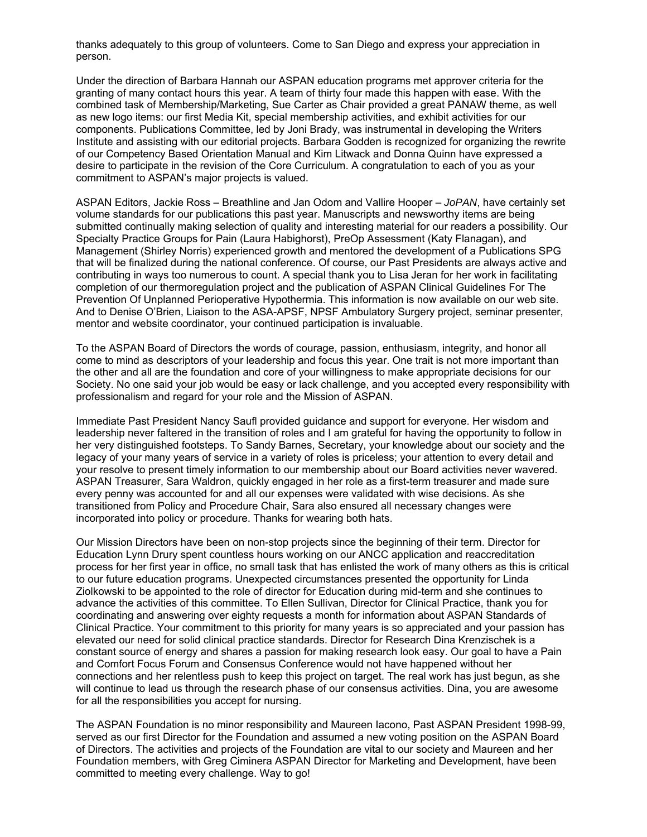thanks adequately to this group of volunteers. Come to San Diego and express your appreciation in person.

Under the direction of Barbara Hannah our ASPAN education programs met approver criteria for the granting of many contact hours this year. A team of thirty four made this happen with ease. With the combined task of Membership/Marketing, Sue Carter as Chair provided a great PANAW theme, as well as new logo items: our first Media Kit, special membership activities, and exhibit activities for our components. Publications Committee, led by Joni Brady, was instrumental in developing the Writers Institute and assisting with our editorial projects. Barbara Godden is recognized for organizing the rewrite of our Competency Based Orientation Manual and Kim Litwack and Donna Quinn have expressed a desire to participate in the revision of the Core Curriculum. A congratulation to each of you as your commitment to ASPAN's major projects is valued.

ASPAN Editors, Jackie Ross – Breathline and Jan Odom and Vallire Hooper – *JoPAN*, have certainly set volume standards for our publications this past year. Manuscripts and newsworthy items are being submitted continually making selection of quality and interesting material for our readers a possibility. Our Specialty Practice Groups for Pain (Laura Habighorst), PreOp Assessment (Katy Flanagan), and Management (Shirley Norris) experienced growth and mentored the development of a Publications SPG that will be finalized during the national conference. Of course, our Past Presidents are always active and contributing in ways too numerous to count. A special thank you to Lisa Jeran for her work in facilitating completion of our thermoregulation project and the publication of ASPAN Clinical Guidelines For The Prevention Of Unplanned Perioperative Hypothermia. This information is now available on our web site. And to Denise O'Brien, Liaison to the ASA-APSF, NPSF Ambulatory Surgery project, seminar presenter, mentor and website coordinator, your continued participation is invaluable.

To the ASPAN Board of Directors the words of courage, passion, enthusiasm, integrity, and honor all come to mind as descriptors of your leadership and focus this year. One trait is not more important than the other and all are the foundation and core of your willingness to make appropriate decisions for our Society. No one said your job would be easy or lack challenge, and you accepted every responsibility with professionalism and regard for your role and the Mission of ASPAN.

Immediate Past President Nancy Saufl provided guidance and support for everyone. Her wisdom and leadership never faltered in the transition of roles and I am grateful for having the opportunity to follow in her very distinguished footsteps. To Sandy Barnes, Secretary, your knowledge about our society and the legacy of your many years of service in a variety of roles is priceless; your attention to every detail and your resolve to present timely information to our membership about our Board activities never wavered. ASPAN Treasurer, Sara Waldron, quickly engaged in her role as a first-term treasurer and made sure every penny was accounted for and all our expenses were validated with wise decisions. As she transitioned from Policy and Procedure Chair, Sara also ensured all necessary changes were incorporated into policy or procedure. Thanks for wearing both hats.

Our Mission Directors have been on non-stop projects since the beginning of their term. Director for Education Lynn Drury spent countless hours working on our ANCC application and reaccreditation process for her first year in office, no small task that has enlisted the work of many others as this is critical to our future education programs. Unexpected circumstances presented the opportunity for Linda Ziolkowski to be appointed to the role of director for Education during mid-term and she continues to advance the activities of this committee. To Ellen Sullivan, Director for Clinical Practice, thank you for coordinating and answering over eighty requests a month for information about ASPAN Standards of Clinical Practice. Your commitment to this priority for many years is so appreciated and your passion has elevated our need for solid clinical practice standards. Director for Research Dina Krenzischek is a constant source of energy and shares a passion for making research look easy. Our goal to have a Pain and Comfort Focus Forum and Consensus Conference would not have happened without her connections and her relentless push to keep this project on target. The real work has just begun, as she will continue to lead us through the research phase of our consensus activities. Dina, you are awesome for all the responsibilities you accept for nursing.

The ASPAN Foundation is no minor responsibility and Maureen Iacono, Past ASPAN President 1998-99, served as our first Director for the Foundation and assumed a new voting position on the ASPAN Board of Directors. The activities and projects of the Foundation are vital to our society and Maureen and her Foundation members, with Greg Ciminera ASPAN Director for Marketing and Development, have been committed to meeting every challenge. Way to go!